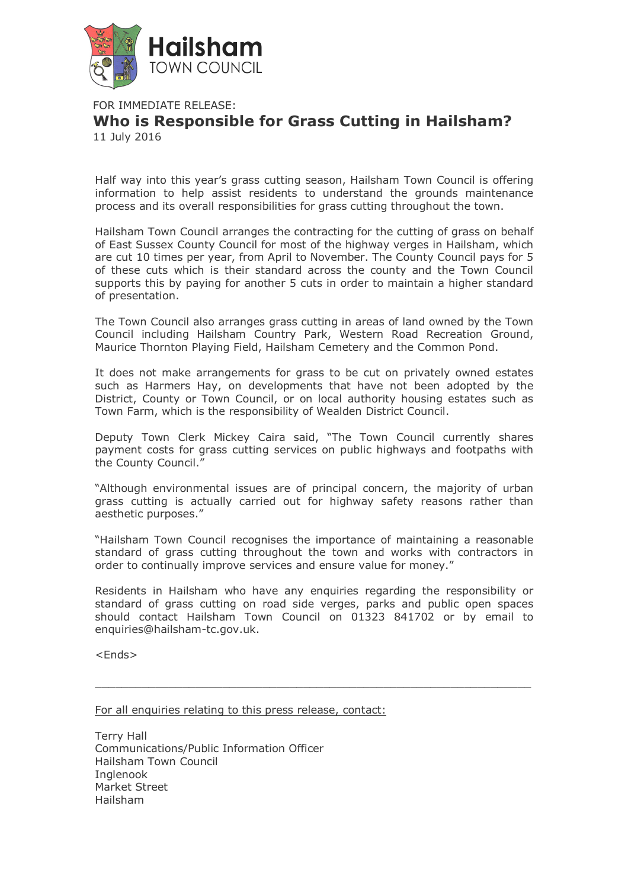

FOR IMMEDIATE RELEASE:

## **Who is Responsible for Grass Cutting in Hailsham?** 11 July 2016

Half way into this year's grass cutting season, Hailsham Town Council is offering information to help assist residents to understand the grounds maintenance process and its overall responsibilities for grass cutting throughout the town.

Hailsham Town Council arranges the contracting for the cutting of grass on behalf of East Sussex County Council for most of the highway verges in Hailsham, which are cut 10 times per year, from April to November. The County Council pays for 5 of these cuts which is their standard across the county and the Town Council supports this by paying for another 5 cuts in order to maintain a higher standard of presentation.

The Town Council also arranges grass cutting in areas of land owned by the Town Council including Hailsham Country Park, Western Road Recreation Ground, Maurice Thornton Playing Field, Hailsham Cemetery and the Common Pond.

It does not make arrangements for grass to be cut on privately owned estates such as Harmers Hay, on developments that have not been adopted by the District, County or Town Council, or on local authority housing estates such as Town Farm, which is the responsibility of Wealden District Council.

Deputy Town Clerk Mickey Caira said, "The Town Council currently shares payment costs for grass cutting services on public highways and footpaths with the County Council."

"Although environmental issues are of principal concern, the majority of urban grass cutting is actually carried out for highway safety reasons rather than aesthetic purposes."

"Hailsham Town Council recognises the importance of maintaining a reasonable standard of grass cutting throughout the town and works with contractors in order to continually improve services and ensure value for money."

Residents in Hailsham who have any enquiries regarding the responsibility or standard of grass cutting on road side verges, parks and public open spaces should contact Hailsham Town Council on 01323 841702 or by email to enquiries@hailsham-tc.gov.uk.

 $\Box$ 

<Ends>

For all enquiries relating to this press release, contact:

Terry Hall Communications/Public Information Officer Hailsham Town Council Inglenook Market Street Hailsham